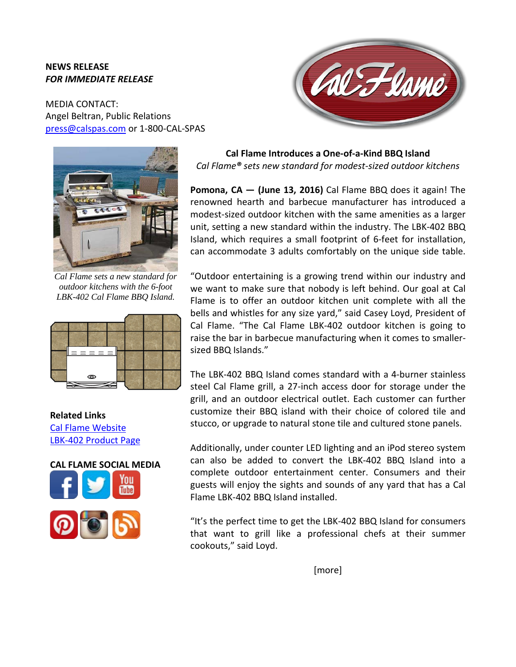## **NEWS RELEASE** *FOR IMMEDIATE RELEASE*

MEDIA CONTACT: Angel Beltran, Public Relations [press@calspas.com](mailto:press@calspas.com) or 1-800-CAL-SPAS



*Cal Flame sets a new standard for outdoor kitchens with the 6-foot LBK-402 Cal Flame BBQ Island.*



**Related Links** [Cal Flame](http://www.calflamebbq.com/) Website [LBK-402 Product Page](http://calflamebbq.com/bbq-islands/lbk-islands/lbk-402.php)





**Cal Flame Introduces a One-of-a-Kind BBQ Island**  *Cal Flame® sets new standard for modest-sized outdoor kitchens*

**Pomona, CA — (June 13, 2016)** Cal Flame BBQ does it again! The renowned hearth and barbecue manufacturer has introduced a modest-sized outdoor kitchen with the same amenities as a larger unit, setting a new standard within the industry. The LBK-402 BBQ Island, which requires a small footprint of 6-feet for installation, can accommodate 3 adults comfortably on the unique side table.

"Outdoor entertaining is a growing trend within our industry and we want to make sure that nobody is left behind. Our goal at Cal Flame is to offer an outdoor kitchen unit complete with all the bells and whistles for any size yard," said Casey Loyd, President of Cal Flame. "The Cal Flame LBK-402 outdoor kitchen is going to raise the bar in barbecue manufacturing when it comes to smallersized BBQ Islands."

The LBK-402 BBQ Island comes standard with a 4-burner stainless steel Cal Flame grill, a 27-inch access door for storage under the grill, and an outdoor electrical outlet. Each customer can further customize their BBQ island with their choice of colored tile and stucco, or upgrade to natural stone tile and cultured stone panels.

Additionally, under counter LED lighting and an iPod stereo system can also be added to convert the LBK-402 BBQ Island into a complete outdoor entertainment center. Consumers and their guests will enjoy the sights and sounds of any yard that has a Cal Flame LBK-402 BBQ Island installed.

"It's the perfect time to get the LBK-402 BBQ Island for consumers that want to grill like a professional chefs at their summer cookouts," said Loyd.

[more]